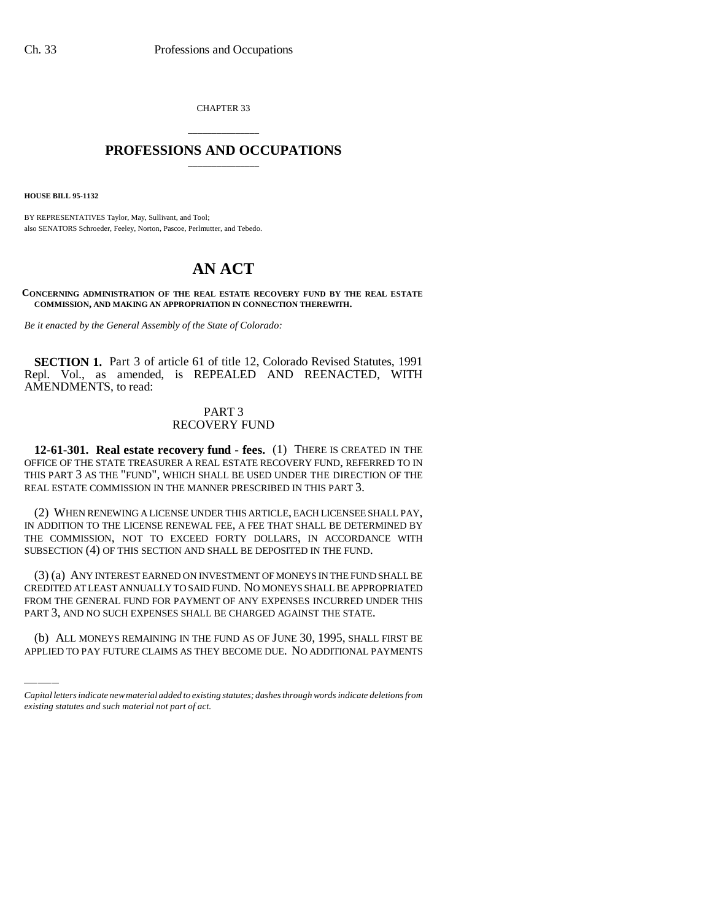CHAPTER 33

## \_\_\_\_\_\_\_\_\_\_\_\_\_\_\_ **PROFESSIONS AND OCCUPATIONS** \_\_\_\_\_\_\_\_\_\_\_\_\_\_\_

**HOUSE BILL 95-1132**

BY REPRESENTATIVES Taylor, May, Sullivant, and Tool; also SENATORS Schroeder, Feeley, Norton, Pascoe, Perlmutter, and Tebedo.

## **AN ACT**

**CONCERNING ADMINISTRATION OF THE REAL ESTATE RECOVERY FUND BY THE REAL ESTATE COMMISSION, AND MAKING AN APPROPRIATION IN CONNECTION THEREWITH.**

*Be it enacted by the General Assembly of the State of Colorado:*

**SECTION 1.** Part 3 of article 61 of title 12, Colorado Revised Statutes, 1991 Repl. Vol., as amended, is REPEALED AND REENACTED, WITH AMENDMENTS, to read:

## PART 3 RECOVERY FUND

**12-61-301. Real estate recovery fund - fees.** (1) THERE IS CREATED IN THE OFFICE OF THE STATE TREASURER A REAL ESTATE RECOVERY FUND, REFERRED TO IN THIS PART 3 AS THE "FUND", WHICH SHALL BE USED UNDER THE DIRECTION OF THE REAL ESTATE COMMISSION IN THE MANNER PRESCRIBED IN THIS PART 3.

(2) WHEN RENEWING A LICENSE UNDER THIS ARTICLE, EACH LICENSEE SHALL PAY, IN ADDITION TO THE LICENSE RENEWAL FEE, A FEE THAT SHALL BE DETERMINED BY THE COMMISSION, NOT TO EXCEED FORTY DOLLARS, IN ACCORDANCE WITH SUBSECTION (4) OF THIS SECTION AND SHALL BE DEPOSITED IN THE FUND.

FROM THE GENERAL FUND FOR PAYMENT OF ANY EXPENSES INCURRED UNDER THIS (3) (a) ANY INTEREST EARNED ON INVESTMENT OF MONEYS IN THE FUND SHALL BE CREDITED AT LEAST ANNUALLY TO SAID FUND. NO MONEYS SHALL BE APPROPRIATED PART 3, AND NO SUCH EXPENSES SHALL BE CHARGED AGAINST THE STATE.

(b) ALL MONEYS REMAINING IN THE FUND AS OF JUNE 30, 1995, SHALL FIRST BE APPLIED TO PAY FUTURE CLAIMS AS THEY BECOME DUE. NO ADDITIONAL PAYMENTS

*Capital letters indicate new material added to existing statutes; dashes through words indicate deletions from existing statutes and such material not part of act.*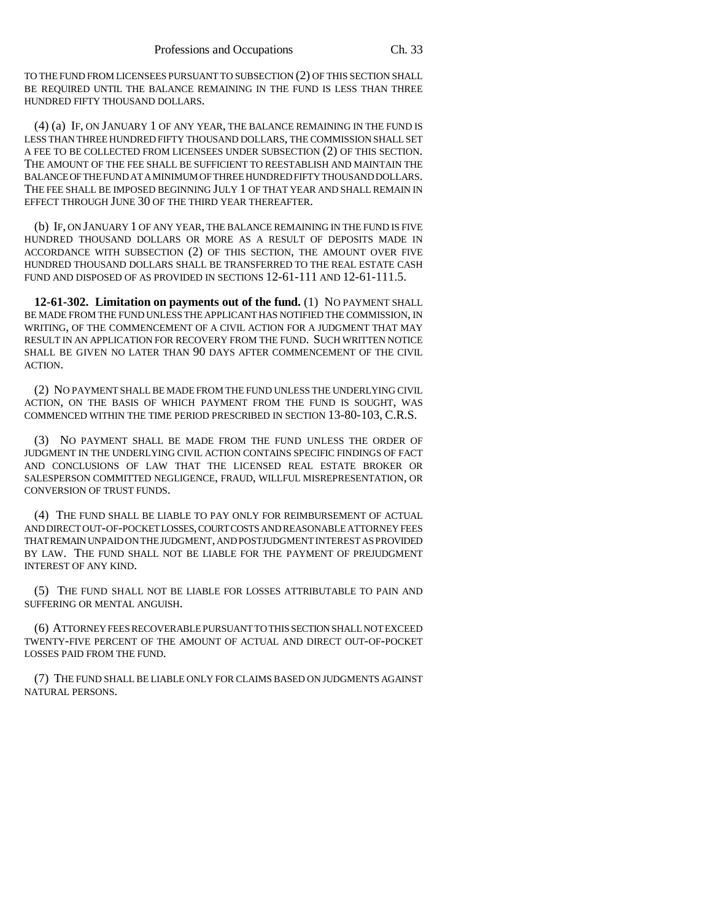TO THE FUND FROM LICENSEES PURSUANT TO SUBSECTION (2) OF THIS SECTION SHALL BE REQUIRED UNTIL THE BALANCE REMAINING IN THE FUND IS LESS THAN THREE HUNDRED FIFTY THOUSAND DOLLARS.

(4) (a) IF, ON JANUARY 1 OF ANY YEAR, THE BALANCE REMAINING IN THE FUND IS LESS THAN THREE HUNDRED FIFTY THOUSAND DOLLARS, THE COMMISSION SHALL SET A FEE TO BE COLLECTED FROM LICENSEES UNDER SUBSECTION (2) OF THIS SECTION. THE AMOUNT OF THE FEE SHALL BE SUFFICIENT TO REESTABLISH AND MAINTAIN THE BALANCE OF THE FUND AT A MINIMUM OF THREE HUNDRED FIFTY THOUSAND DOLLARS. THE FEE SHALL BE IMPOSED BEGINNING JULY 1 OF THAT YEAR AND SHALL REMAIN IN EFFECT THROUGH JUNE 30 OF THE THIRD YEAR THEREAFTER.

(b) IF, ON JANUARY 1 OF ANY YEAR, THE BALANCE REMAINING IN THE FUND IS FIVE HUNDRED THOUSAND DOLLARS OR MORE AS A RESULT OF DEPOSITS MADE IN ACCORDANCE WITH SUBSECTION (2) OF THIS SECTION, THE AMOUNT OVER FIVE HUNDRED THOUSAND DOLLARS SHALL BE TRANSFERRED TO THE REAL ESTATE CASH FUND AND DISPOSED OF AS PROVIDED IN SECTIONS 12-61-111 AND 12-61-111.5.

**12-61-302. Limitation on payments out of the fund.** (1) NO PAYMENT SHALL BE MADE FROM THE FUND UNLESS THE APPLICANT HAS NOTIFIED THE COMMISSION, IN WRITING, OF THE COMMENCEMENT OF A CIVIL ACTION FOR A JUDGMENT THAT MAY RESULT IN AN APPLICATION FOR RECOVERY FROM THE FUND. SUCH WRITTEN NOTICE SHALL BE GIVEN NO LATER THAN 90 DAYS AFTER COMMENCEMENT OF THE CIVIL ACTION.

(2) NO PAYMENT SHALL BE MADE FROM THE FUND UNLESS THE UNDERLYING CIVIL ACTION, ON THE BASIS OF WHICH PAYMENT FROM THE FUND IS SOUGHT, WAS COMMENCED WITHIN THE TIME PERIOD PRESCRIBED IN SECTION 13-80-103, C.R.S.

(3) NO PAYMENT SHALL BE MADE FROM THE FUND UNLESS THE ORDER OF JUDGMENT IN THE UNDERLYING CIVIL ACTION CONTAINS SPECIFIC FINDINGS OF FACT AND CONCLUSIONS OF LAW THAT THE LICENSED REAL ESTATE BROKER OR SALESPERSON COMMITTED NEGLIGENCE, FRAUD, WILLFUL MISREPRESENTATION, OR CONVERSION OF TRUST FUNDS.

(4) THE FUND SHALL BE LIABLE TO PAY ONLY FOR REIMBURSEMENT OF ACTUAL AND DIRECT OUT-OF-POCKET LOSSES, COURT COSTS AND REASONABLE ATTORNEY FEES THAT REMAIN UNPAID ON THE JUDGMENT, AND POSTJUDGMENT INTEREST AS PROVIDED BY LAW. THE FUND SHALL NOT BE LIABLE FOR THE PAYMENT OF PREJUDGMENT INTEREST OF ANY KIND.

(5) THE FUND SHALL NOT BE LIABLE FOR LOSSES ATTRIBUTABLE TO PAIN AND SUFFERING OR MENTAL ANGUISH.

(6) ATTORNEY FEES RECOVERABLE PURSUANT TO THIS SECTION SHALL NOT EXCEED TWENTY-FIVE PERCENT OF THE AMOUNT OF ACTUAL AND DIRECT OUT-OF-POCKET LOSSES PAID FROM THE FUND.

(7) THE FUND SHALL BE LIABLE ONLY FOR CLAIMS BASED ON JUDGMENTS AGAINST NATURAL PERSONS.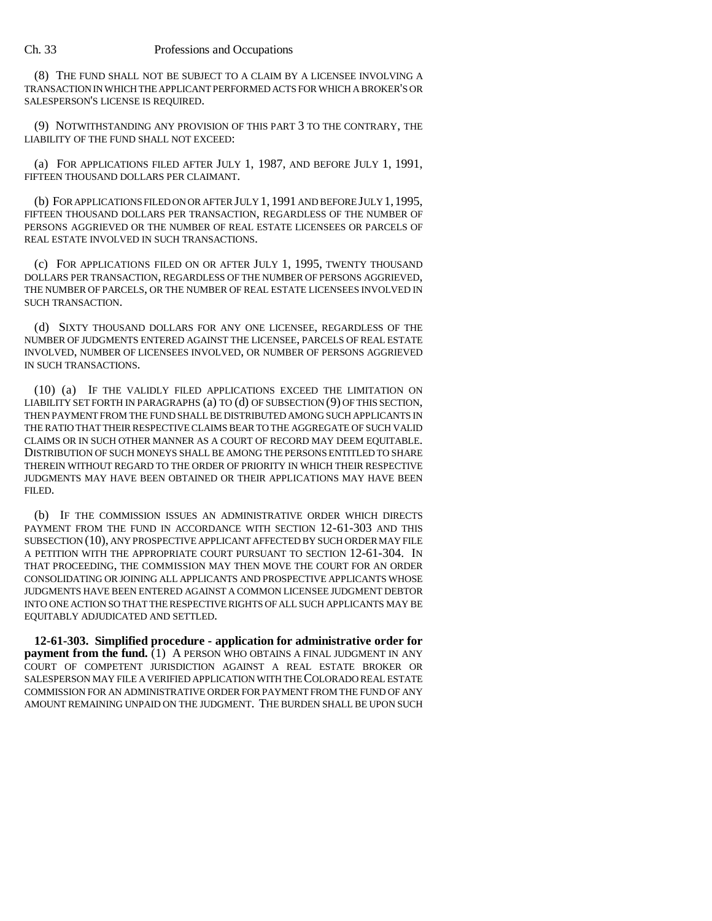## Ch. 33 Professions and Occupations

(8) THE FUND SHALL NOT BE SUBJECT TO A CLAIM BY A LICENSEE INVOLVING A TRANSACTION IN WHICH THE APPLICANT PERFORMED ACTS FOR WHICH A BROKER'S OR SALESPERSON'S LICENSE IS REQUIRED.

(9) NOTWITHSTANDING ANY PROVISION OF THIS PART 3 TO THE CONTRARY, THE LIABILITY OF THE FUND SHALL NOT EXCEED:

(a) FOR APPLICATIONS FILED AFTER JULY 1, 1987, AND BEFORE JULY 1, 1991, FIFTEEN THOUSAND DOLLARS PER CLAIMANT.

(b) FOR APPLICATIONS FILED ON OR AFTER JULY 1, 1991 AND BEFORE JULY 1,1995, FIFTEEN THOUSAND DOLLARS PER TRANSACTION, REGARDLESS OF THE NUMBER OF PERSONS AGGRIEVED OR THE NUMBER OF REAL ESTATE LICENSEES OR PARCELS OF REAL ESTATE INVOLVED IN SUCH TRANSACTIONS.

(c) FOR APPLICATIONS FILED ON OR AFTER JULY 1, 1995, TWENTY THOUSAND DOLLARS PER TRANSACTION, REGARDLESS OF THE NUMBER OF PERSONS AGGRIEVED, THE NUMBER OF PARCELS, OR THE NUMBER OF REAL ESTATE LICENSEES INVOLVED IN SUCH TRANSACTION.

(d) SIXTY THOUSAND DOLLARS FOR ANY ONE LICENSEE, REGARDLESS OF THE NUMBER OF JUDGMENTS ENTERED AGAINST THE LICENSEE, PARCELS OF REAL ESTATE INVOLVED, NUMBER OF LICENSEES INVOLVED, OR NUMBER OF PERSONS AGGRIEVED IN SUCH TRANSACTIONS.

(10) (a) IF THE VALIDLY FILED APPLICATIONS EXCEED THE LIMITATION ON LIABILITY SET FORTH IN PARAGRAPHS (a) TO (d) OF SUBSECTION (9) OF THIS SECTION, THEN PAYMENT FROM THE FUND SHALL BE DISTRIBUTED AMONG SUCH APPLICANTS IN THE RATIO THAT THEIR RESPECTIVE CLAIMS BEAR TO THE AGGREGATE OF SUCH VALID CLAIMS OR IN SUCH OTHER MANNER AS A COURT OF RECORD MAY DEEM EQUITABLE. DISTRIBUTION OF SUCH MONEYS SHALL BE AMONG THE PERSONS ENTITLED TO SHARE THEREIN WITHOUT REGARD TO THE ORDER OF PRIORITY IN WHICH THEIR RESPECTIVE JUDGMENTS MAY HAVE BEEN OBTAINED OR THEIR APPLICATIONS MAY HAVE BEEN FILED.

(b) IF THE COMMISSION ISSUES AN ADMINISTRATIVE ORDER WHICH DIRECTS PAYMENT FROM THE FUND IN ACCORDANCE WITH SECTION 12-61-303 AND THIS SUBSECTION (10), ANY PROSPECTIVE APPLICANT AFFECTED BY SUCH ORDER MAY FILE A PETITION WITH THE APPROPRIATE COURT PURSUANT TO SECTION 12-61-304. IN THAT PROCEEDING, THE COMMISSION MAY THEN MOVE THE COURT FOR AN ORDER CONSOLIDATING OR JOINING ALL APPLICANTS AND PROSPECTIVE APPLICANTS WHOSE JUDGMENTS HAVE BEEN ENTERED AGAINST A COMMON LICENSEE JUDGMENT DEBTOR INTO ONE ACTION SO THAT THE RESPECTIVE RIGHTS OF ALL SUCH APPLICANTS MAY BE EQUITABLY ADJUDICATED AND SETTLED.

**12-61-303. Simplified procedure - application for administrative order for payment from the fund.** (1) A PERSON WHO OBTAINS A FINAL JUDGMENT IN ANY COURT OF COMPETENT JURISDICTION AGAINST A REAL ESTATE BROKER OR SALESPERSON MAY FILE A VERIFIED APPLICATION WITH THE COLORADO REAL ESTATE COMMISSION FOR AN ADMINISTRATIVE ORDER FOR PAYMENT FROM THE FUND OF ANY AMOUNT REMAINING UNPAID ON THE JUDGMENT. THE BURDEN SHALL BE UPON SUCH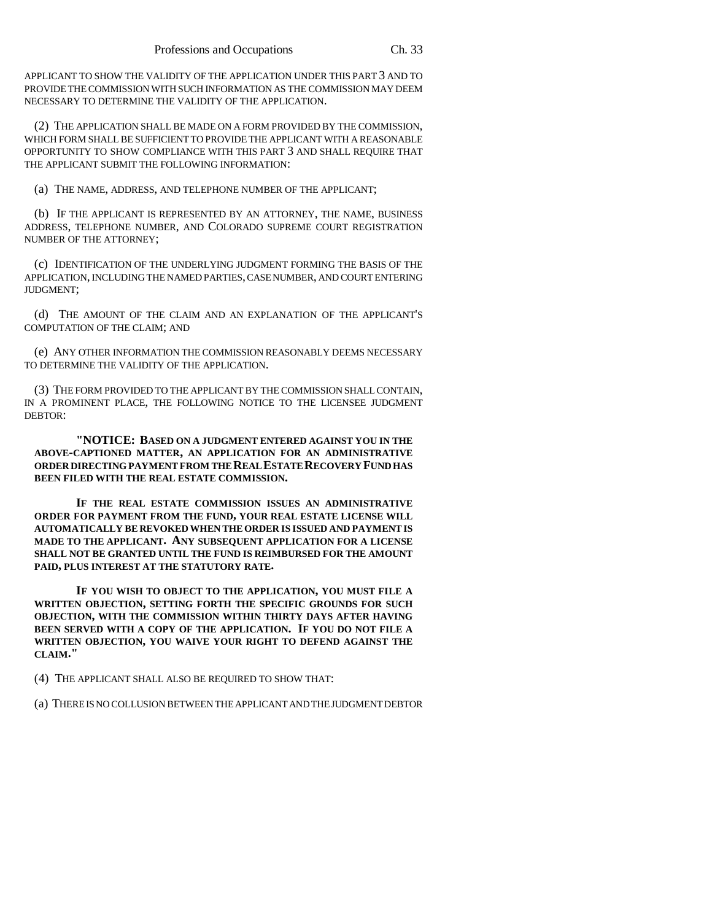APPLICANT TO SHOW THE VALIDITY OF THE APPLICATION UNDER THIS PART 3 AND TO PROVIDE THE COMMISSION WITH SUCH INFORMATION AS THE COMMISSION MAY DEEM NECESSARY TO DETERMINE THE VALIDITY OF THE APPLICATION.

(2) THE APPLICATION SHALL BE MADE ON A FORM PROVIDED BY THE COMMISSION, WHICH FORM SHALL BE SUFFICIENT TO PROVIDE THE APPLICANT WITH A REASONABLE OPPORTUNITY TO SHOW COMPLIANCE WITH THIS PART 3 AND SHALL REQUIRE THAT THE APPLICANT SUBMIT THE FOLLOWING INFORMATION:

(a) THE NAME, ADDRESS, AND TELEPHONE NUMBER OF THE APPLICANT;

(b) IF THE APPLICANT IS REPRESENTED BY AN ATTORNEY, THE NAME, BUSINESS ADDRESS, TELEPHONE NUMBER, AND COLORADO SUPREME COURT REGISTRATION NUMBER OF THE ATTORNEY;

(c) IDENTIFICATION OF THE UNDERLYING JUDGMENT FORMING THE BASIS OF THE APPLICATION, INCLUDING THE NAMED PARTIES, CASE NUMBER, AND COURT ENTERING JUDGMENT;

(d) THE AMOUNT OF THE CLAIM AND AN EXPLANATION OF THE APPLICANT'S COMPUTATION OF THE CLAIM; AND

(e) ANY OTHER INFORMATION THE COMMISSION REASONABLY DEEMS NECESSARY TO DETERMINE THE VALIDITY OF THE APPLICATION.

(3) THE FORM PROVIDED TO THE APPLICANT BY THE COMMISSION SHALL CONTAIN, IN A PROMINENT PLACE, THE FOLLOWING NOTICE TO THE LICENSEE JUDGMENT DEBTOR:

**"NOTICE: BASED ON A JUDGMENT ENTERED AGAINST YOU IN THE ABOVE-CAPTIONED MATTER, AN APPLICATION FOR AN ADMINISTRATIVE ORDER DIRECTING PAYMENT FROM THE REAL ESTATE RECOVERY FUND HAS BEEN FILED WITH THE REAL ESTATE COMMISSION.**

**IF THE REAL ESTATE COMMISSION ISSUES AN ADMINISTRATIVE ORDER FOR PAYMENT FROM THE FUND, YOUR REAL ESTATE LICENSE WILL AUTOMATICALLY BE REVOKED WHEN THE ORDER IS ISSUED AND PAYMENT IS MADE TO THE APPLICANT. ANY SUBSEQUENT APPLICATION FOR A LICENSE SHALL NOT BE GRANTED UNTIL THE FUND IS REIMBURSED FOR THE AMOUNT PAID, PLUS INTEREST AT THE STATUTORY RATE.**

**IF YOU WISH TO OBJECT TO THE APPLICATION, YOU MUST FILE A WRITTEN OBJECTION, SETTING FORTH THE SPECIFIC GROUNDS FOR SUCH OBJECTION, WITH THE COMMISSION WITHIN THIRTY DAYS AFTER HAVING BEEN SERVED WITH A COPY OF THE APPLICATION. IF YOU DO NOT FILE A WRITTEN OBJECTION, YOU WAIVE YOUR RIGHT TO DEFEND AGAINST THE CLAIM."**

(4) THE APPLICANT SHALL ALSO BE REQUIRED TO SHOW THAT:

(a) THERE IS NO COLLUSION BETWEEN THE APPLICANT AND THE JUDGMENT DEBTOR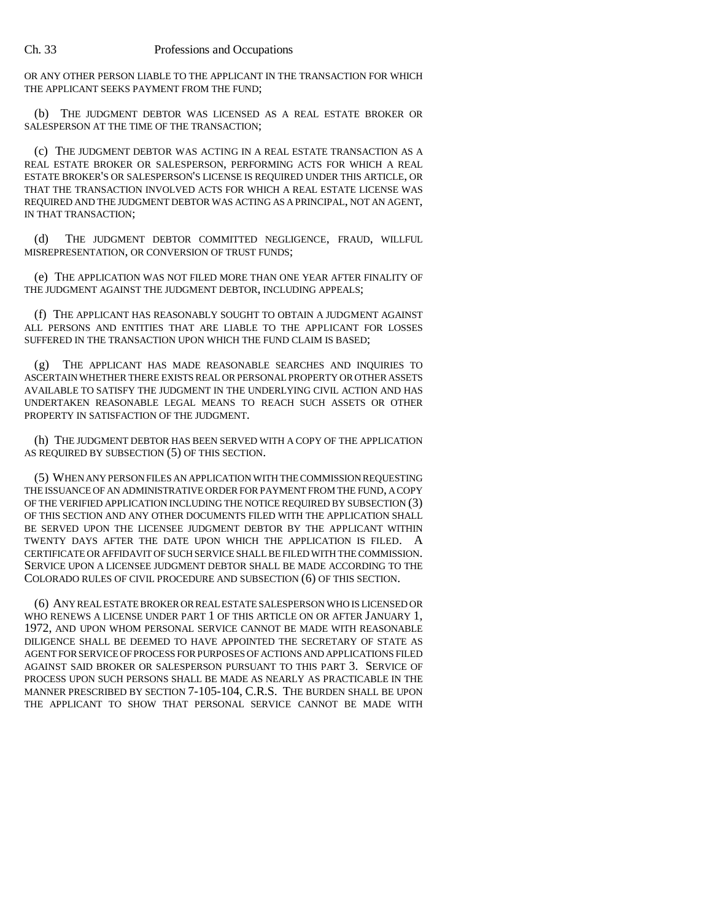OR ANY OTHER PERSON LIABLE TO THE APPLICANT IN THE TRANSACTION FOR WHICH THE APPLICANT SEEKS PAYMENT FROM THE FUND;

(b) THE JUDGMENT DEBTOR WAS LICENSED AS A REAL ESTATE BROKER OR SALESPERSON AT THE TIME OF THE TRANSACTION;

(c) THE JUDGMENT DEBTOR WAS ACTING IN A REAL ESTATE TRANSACTION AS A REAL ESTATE BROKER OR SALESPERSON, PERFORMING ACTS FOR WHICH A REAL ESTATE BROKER'S OR SALESPERSON'S LICENSE IS REQUIRED UNDER THIS ARTICLE, OR THAT THE TRANSACTION INVOLVED ACTS FOR WHICH A REAL ESTATE LICENSE WAS REQUIRED AND THE JUDGMENT DEBTOR WAS ACTING AS A PRINCIPAL, NOT AN AGENT, IN THAT TRANSACTION;

(d) THE JUDGMENT DEBTOR COMMITTED NEGLIGENCE, FRAUD, WILLFUL MISREPRESENTATION, OR CONVERSION OF TRUST FUNDS;

(e) THE APPLICATION WAS NOT FILED MORE THAN ONE YEAR AFTER FINALITY OF THE JUDGMENT AGAINST THE JUDGMENT DEBTOR, INCLUDING APPEALS;

(f) THE APPLICANT HAS REASONABLY SOUGHT TO OBTAIN A JUDGMENT AGAINST ALL PERSONS AND ENTITIES THAT ARE LIABLE TO THE APPLICANT FOR LOSSES SUFFERED IN THE TRANSACTION UPON WHICH THE FUND CLAIM IS BASED;

(g) THE APPLICANT HAS MADE REASONABLE SEARCHES AND INQUIRIES TO ASCERTAIN WHETHER THERE EXISTS REAL OR PERSONAL PROPERTY OR OTHER ASSETS AVAILABLE TO SATISFY THE JUDGMENT IN THE UNDERLYING CIVIL ACTION AND HAS UNDERTAKEN REASONABLE LEGAL MEANS TO REACH SUCH ASSETS OR OTHER PROPERTY IN SATISFACTION OF THE JUDGMENT.

(h) THE JUDGMENT DEBTOR HAS BEEN SERVED WITH A COPY OF THE APPLICATION AS REQUIRED BY SUBSECTION (5) OF THIS SECTION.

(5) WHEN ANY PERSON FILES AN APPLICATION WITH THE COMMISSION REQUESTING THE ISSUANCE OF AN ADMINISTRATIVE ORDER FOR PAYMENT FROM THE FUND, A COPY OF THE VERIFIED APPLICATION INCLUDING THE NOTICE REQUIRED BY SUBSECTION (3) OF THIS SECTION AND ANY OTHER DOCUMENTS FILED WITH THE APPLICATION SHALL BE SERVED UPON THE LICENSEE JUDGMENT DEBTOR BY THE APPLICANT WITHIN TWENTY DAYS AFTER THE DATE UPON WHICH THE APPLICATION IS FILED. A CERTIFICATE OR AFFIDAVIT OF SUCH SERVICE SHALL BE FILED WITH THE COMMISSION. SERVICE UPON A LICENSEE JUDGMENT DEBTOR SHALL BE MADE ACCORDING TO THE COLORADO RULES OF CIVIL PROCEDURE AND SUBSECTION (6) OF THIS SECTION.

(6) ANY REAL ESTATE BROKER OR REAL ESTATE SALESPERSON WHO IS LICENSED OR WHO RENEWS A LICENSE UNDER PART 1 OF THIS ARTICLE ON OR AFTER JANUARY 1, 1972, AND UPON WHOM PERSONAL SERVICE CANNOT BE MADE WITH REASONABLE DILIGENCE SHALL BE DEEMED TO HAVE APPOINTED THE SECRETARY OF STATE AS AGENT FOR SERVICE OF PROCESS FOR PURPOSES OF ACTIONS AND APPLICATIONS FILED AGAINST SAID BROKER OR SALESPERSON PURSUANT TO THIS PART 3. SERVICE OF PROCESS UPON SUCH PERSONS SHALL BE MADE AS NEARLY AS PRACTICABLE IN THE MANNER PRESCRIBED BY SECTION 7-105-104, C.R.S. THE BURDEN SHALL BE UPON THE APPLICANT TO SHOW THAT PERSONAL SERVICE CANNOT BE MADE WITH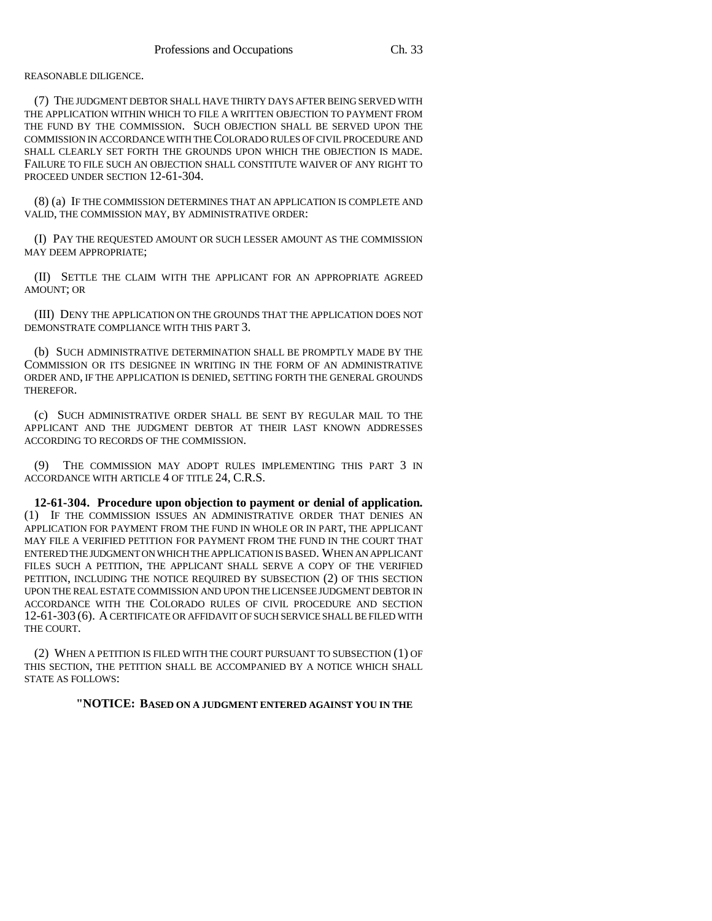REASONABLE DILIGENCE.

(7) THE JUDGMENT DEBTOR SHALL HAVE THIRTY DAYS AFTER BEING SERVED WITH THE APPLICATION WITHIN WHICH TO FILE A WRITTEN OBJECTION TO PAYMENT FROM THE FUND BY THE COMMISSION. SUCH OBJECTION SHALL BE SERVED UPON THE COMMISSION IN ACCORDANCE WITH THE COLORADO RULES OF CIVIL PROCEDURE AND SHALL CLEARLY SET FORTH THE GROUNDS UPON WHICH THE OBJECTION IS MADE. FAILURE TO FILE SUCH AN OBJECTION SHALL CONSTITUTE WAIVER OF ANY RIGHT TO PROCEED UNDER SECTION 12-61-304.

(8) (a) IF THE COMMISSION DETERMINES THAT AN APPLICATION IS COMPLETE AND VALID, THE COMMISSION MAY, BY ADMINISTRATIVE ORDER:

(I) PAY THE REQUESTED AMOUNT OR SUCH LESSER AMOUNT AS THE COMMISSION MAY DEEM APPROPRIATE;

(II) SETTLE THE CLAIM WITH THE APPLICANT FOR AN APPROPRIATE AGREED AMOUNT; OR

(III) DENY THE APPLICATION ON THE GROUNDS THAT THE APPLICATION DOES NOT DEMONSTRATE COMPLIANCE WITH THIS PART 3.

(b) SUCH ADMINISTRATIVE DETERMINATION SHALL BE PROMPTLY MADE BY THE COMMISSION OR ITS DESIGNEE IN WRITING IN THE FORM OF AN ADMINISTRATIVE ORDER AND, IF THE APPLICATION IS DENIED, SETTING FORTH THE GENERAL GROUNDS THEREFOR.

(c) SUCH ADMINISTRATIVE ORDER SHALL BE SENT BY REGULAR MAIL TO THE APPLICANT AND THE JUDGMENT DEBTOR AT THEIR LAST KNOWN ADDRESSES ACCORDING TO RECORDS OF THE COMMISSION.

(9) THE COMMISSION MAY ADOPT RULES IMPLEMENTING THIS PART 3 IN ACCORDANCE WITH ARTICLE 4 OF TITLE 24, C.R.S.

**12-61-304. Procedure upon objection to payment or denial of application.** (1) IF THE COMMISSION ISSUES AN ADMINISTRATIVE ORDER THAT DENIES AN APPLICATION FOR PAYMENT FROM THE FUND IN WHOLE OR IN PART, THE APPLICANT MAY FILE A VERIFIED PETITION FOR PAYMENT FROM THE FUND IN THE COURT THAT ENTERED THE JUDGMENT ON WHICH THE APPLICATION IS BASED. WHEN AN APPLICANT FILES SUCH A PETITION, THE APPLICANT SHALL SERVE A COPY OF THE VERIFIED PETITION, INCLUDING THE NOTICE REQUIRED BY SUBSECTION (2) OF THIS SECTION UPON THE REAL ESTATE COMMISSION AND UPON THE LICENSEE JUDGMENT DEBTOR IN ACCORDANCE WITH THE COLORADO RULES OF CIVIL PROCEDURE AND SECTION 12-61-303 (6). A CERTIFICATE OR AFFIDAVIT OF SUCH SERVICE SHALL BE FILED WITH THE COURT.

(2) WHEN A PETITION IS FILED WITH THE COURT PURSUANT TO SUBSECTION (1) OF THIS SECTION, THE PETITION SHALL BE ACCOMPANIED BY A NOTICE WHICH SHALL STATE AS FOLLOWS:

**"NOTICE: BASED ON A JUDGMENT ENTERED AGAINST YOU IN THE**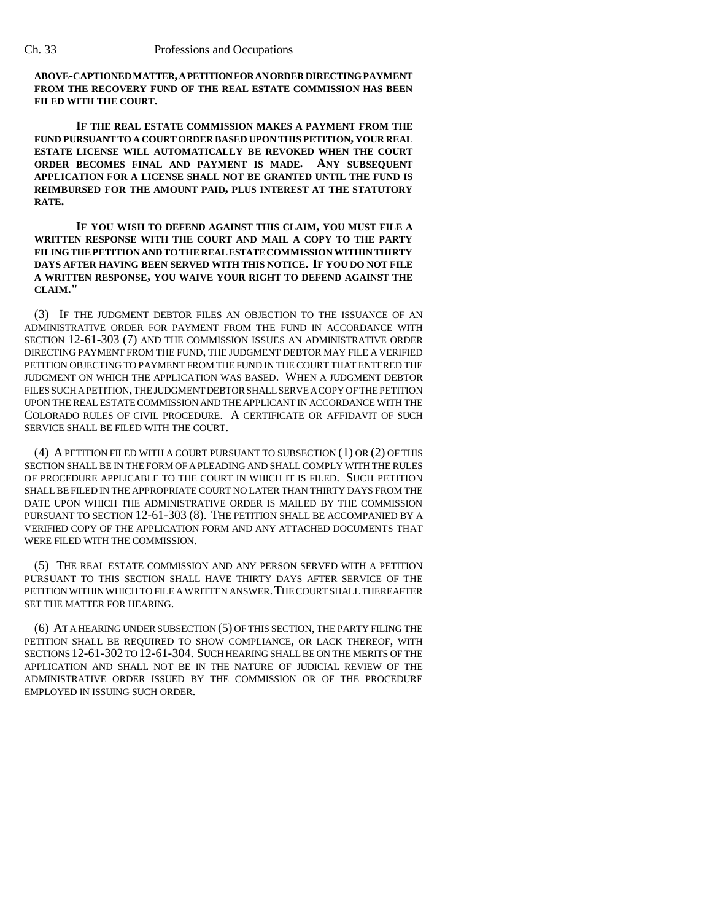**ABOVE-CAPTIONED MATTER, A PETITION FOR AN ORDER DIRECTING PAYMENT FROM THE RECOVERY FUND OF THE REAL ESTATE COMMISSION HAS BEEN FILED WITH THE COURT.**

**IF THE REAL ESTATE COMMISSION MAKES A PAYMENT FROM THE FUND PURSUANT TO A COURT ORDER BASED UPON THIS PETITION, YOUR REAL ESTATE LICENSE WILL AUTOMATICALLY BE REVOKED WHEN THE COURT ORDER BECOMES FINAL AND PAYMENT IS MADE. ANY SUBSEQUENT APPLICATION FOR A LICENSE SHALL NOT BE GRANTED UNTIL THE FUND IS REIMBURSED FOR THE AMOUNT PAID, PLUS INTEREST AT THE STATUTORY RATE.**

**IF YOU WISH TO DEFEND AGAINST THIS CLAIM, YOU MUST FILE A WRITTEN RESPONSE WITH THE COURT AND MAIL A COPY TO THE PARTY FILING THE PETITION AND TO THE REAL ESTATE COMMISSION WITHIN THIRTY DAYS AFTER HAVING BEEN SERVED WITH THIS NOTICE. IF YOU DO NOT FILE A WRITTEN RESPONSE, YOU WAIVE YOUR RIGHT TO DEFEND AGAINST THE CLAIM."**

(3) IF THE JUDGMENT DEBTOR FILES AN OBJECTION TO THE ISSUANCE OF AN ADMINISTRATIVE ORDER FOR PAYMENT FROM THE FUND IN ACCORDANCE WITH SECTION 12-61-303 (7) AND THE COMMISSION ISSUES AN ADMINISTRATIVE ORDER DIRECTING PAYMENT FROM THE FUND, THE JUDGMENT DEBTOR MAY FILE A VERIFIED PETITION OBJECTING TO PAYMENT FROM THE FUND IN THE COURT THAT ENTERED THE JUDGMENT ON WHICH THE APPLICATION WAS BASED. WHEN A JUDGMENT DEBTOR FILES SUCH A PETITION, THE JUDGMENT DEBTOR SHALL SERVE A COPY OF THE PETITION UPON THE REAL ESTATE COMMISSION AND THE APPLICANT IN ACCORDANCE WITH THE COLORADO RULES OF CIVIL PROCEDURE. A CERTIFICATE OR AFFIDAVIT OF SUCH SERVICE SHALL BE FILED WITH THE COURT.

(4) A PETITION FILED WITH A COURT PURSUANT TO SUBSECTION (1) OR (2) OF THIS SECTION SHALL BE IN THE FORM OF A PLEADING AND SHALL COMPLY WITH THE RULES OF PROCEDURE APPLICABLE TO THE COURT IN WHICH IT IS FILED. SUCH PETITION SHALL BE FILED IN THE APPROPRIATE COURT NO LATER THAN THIRTY DAYS FROM THE DATE UPON WHICH THE ADMINISTRATIVE ORDER IS MAILED BY THE COMMISSION PURSUANT TO SECTION 12-61-303 (8). THE PETITION SHALL BE ACCOMPANIED BY A VERIFIED COPY OF THE APPLICATION FORM AND ANY ATTACHED DOCUMENTS THAT WERE FILED WITH THE COMMISSION.

(5) THE REAL ESTATE COMMISSION AND ANY PERSON SERVED WITH A PETITION PURSUANT TO THIS SECTION SHALL HAVE THIRTY DAYS AFTER SERVICE OF THE PETITION WITHIN WHICH TO FILE A WRITTEN ANSWER.THE COURT SHALL THEREAFTER SET THE MATTER FOR HEARING.

(6) AT A HEARING UNDER SUBSECTION (5) OF THIS SECTION, THE PARTY FILING THE PETITION SHALL BE REQUIRED TO SHOW COMPLIANCE, OR LACK THEREOF, WITH SECTIONS 12-61-302 TO 12-61-304. SUCH HEARING SHALL BE ON THE MERITS OF THE APPLICATION AND SHALL NOT BE IN THE NATURE OF JUDICIAL REVIEW OF THE ADMINISTRATIVE ORDER ISSUED BY THE COMMISSION OR OF THE PROCEDURE EMPLOYED IN ISSUING SUCH ORDER.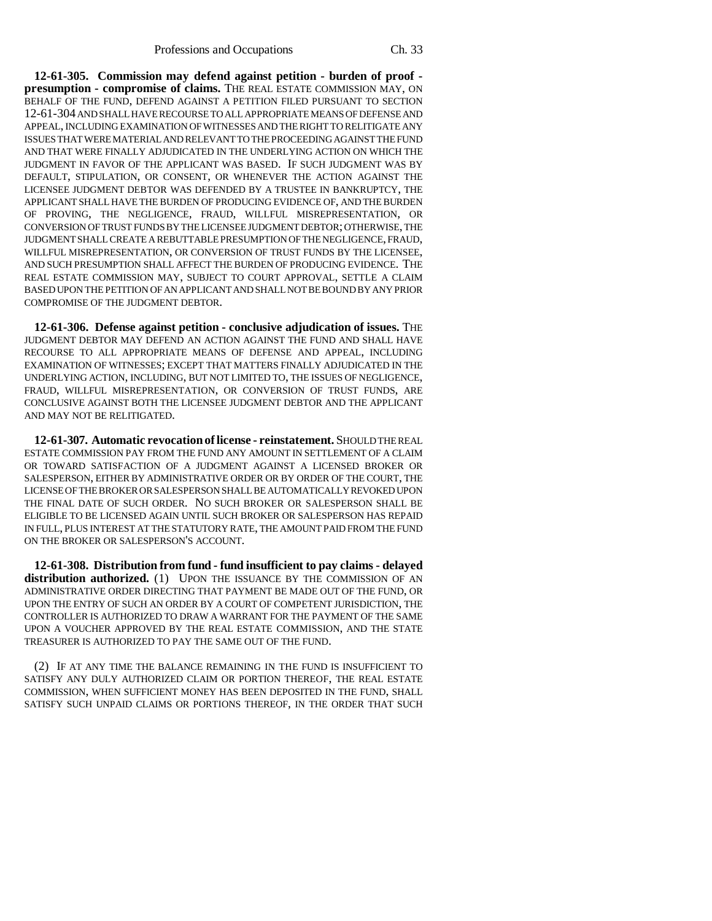**12-61-305. Commission may defend against petition - burden of proof presumption - compromise of claims.** THE REAL ESTATE COMMISSION MAY, ON BEHALF OF THE FUND, DEFEND AGAINST A PETITION FILED PURSUANT TO SECTION 12-61-304 AND SHALL HAVE RECOURSE TO ALL APPROPRIATE MEANS OF DEFENSE AND APPEAL, INCLUDING EXAMINATION OF WITNESSES AND THE RIGHT TO RELITIGATE ANY ISSUES THAT WERE MATERIAL AND RELEVANT TO THE PROCEEDING AGAINST THE FUND AND THAT WERE FINALLY ADJUDICATED IN THE UNDERLYING ACTION ON WHICH THE JUDGMENT IN FAVOR OF THE APPLICANT WAS BASED. IF SUCH JUDGMENT WAS BY DEFAULT, STIPULATION, OR CONSENT, OR WHENEVER THE ACTION AGAINST THE LICENSEE JUDGMENT DEBTOR WAS DEFENDED BY A TRUSTEE IN BANKRUPTCY, THE APPLICANT SHALL HAVE THE BURDEN OF PRODUCING EVIDENCE OF, AND THE BURDEN OF PROVING, THE NEGLIGENCE, FRAUD, WILLFUL MISREPRESENTATION, OR CONVERSION OF TRUST FUNDS BY THE LICENSEE JUDGMENT DEBTOR; OTHERWISE, THE JUDGMENT SHALL CREATE A REBUTTABLE PRESUMPTION OF THE NEGLIGENCE, FRAUD, WILLFUL MISREPRESENTATION, OR CONVERSION OF TRUST FUNDS BY THE LICENSEE, AND SUCH PRESUMPTION SHALL AFFECT THE BURDEN OF PRODUCING EVIDENCE. THE REAL ESTATE COMMISSION MAY, SUBJECT TO COURT APPROVAL, SETTLE A CLAIM BASED UPON THE PETITION OF AN APPLICANT AND SHALL NOT BE BOUND BY ANY PRIOR COMPROMISE OF THE JUDGMENT DEBTOR.

**12-61-306. Defense against petition - conclusive adjudication of issues.** THE JUDGMENT DEBTOR MAY DEFEND AN ACTION AGAINST THE FUND AND SHALL HAVE RECOURSE TO ALL APPROPRIATE MEANS OF DEFENSE AND APPEAL, INCLUDING EXAMINATION OF WITNESSES; EXCEPT THAT MATTERS FINALLY ADJUDICATED IN THE UNDERLYING ACTION, INCLUDING, BUT NOT LIMITED TO, THE ISSUES OF NEGLIGENCE, FRAUD, WILLFUL MISREPRESENTATION, OR CONVERSION OF TRUST FUNDS, ARE CONCLUSIVE AGAINST BOTH THE LICENSEE JUDGMENT DEBTOR AND THE APPLICANT AND MAY NOT BE RELITIGATED.

**12-61-307. Automatic revocation of license - reinstatement.** SHOULD THE REAL ESTATE COMMISSION PAY FROM THE FUND ANY AMOUNT IN SETTLEMENT OF A CLAIM OR TOWARD SATISFACTION OF A JUDGMENT AGAINST A LICENSED BROKER OR SALESPERSON, EITHER BY ADMINISTRATIVE ORDER OR BY ORDER OF THE COURT, THE LICENSE OF THE BROKER OR SALESPERSON SHALL BE AUTOMATICALLY REVOKED UPON THE FINAL DATE OF SUCH ORDER. NO SUCH BROKER OR SALESPERSON SHALL BE ELIGIBLE TO BE LICENSED AGAIN UNTIL SUCH BROKER OR SALESPERSON HAS REPAID IN FULL, PLUS INTEREST AT THE STATUTORY RATE, THE AMOUNT PAID FROM THE FUND ON THE BROKER OR SALESPERSON'S ACCOUNT.

**12-61-308. Distribution from fund - fund insufficient to pay claims - delayed** distribution authorized. (1) UPON THE ISSUANCE BY THE COMMISSION OF AN ADMINISTRATIVE ORDER DIRECTING THAT PAYMENT BE MADE OUT OF THE FUND, OR UPON THE ENTRY OF SUCH AN ORDER BY A COURT OF COMPETENT JURISDICTION, THE CONTROLLER IS AUTHORIZED TO DRAW A WARRANT FOR THE PAYMENT OF THE SAME UPON A VOUCHER APPROVED BY THE REAL ESTATE COMMISSION, AND THE STATE TREASURER IS AUTHORIZED TO PAY THE SAME OUT OF THE FUND.

(2) IF AT ANY TIME THE BALANCE REMAINING IN THE FUND IS INSUFFICIENT TO SATISFY ANY DULY AUTHORIZED CLAIM OR PORTION THEREOF, THE REAL ESTATE COMMISSION, WHEN SUFFICIENT MONEY HAS BEEN DEPOSITED IN THE FUND, SHALL SATISFY SUCH UNPAID CLAIMS OR PORTIONS THEREOF, IN THE ORDER THAT SUCH